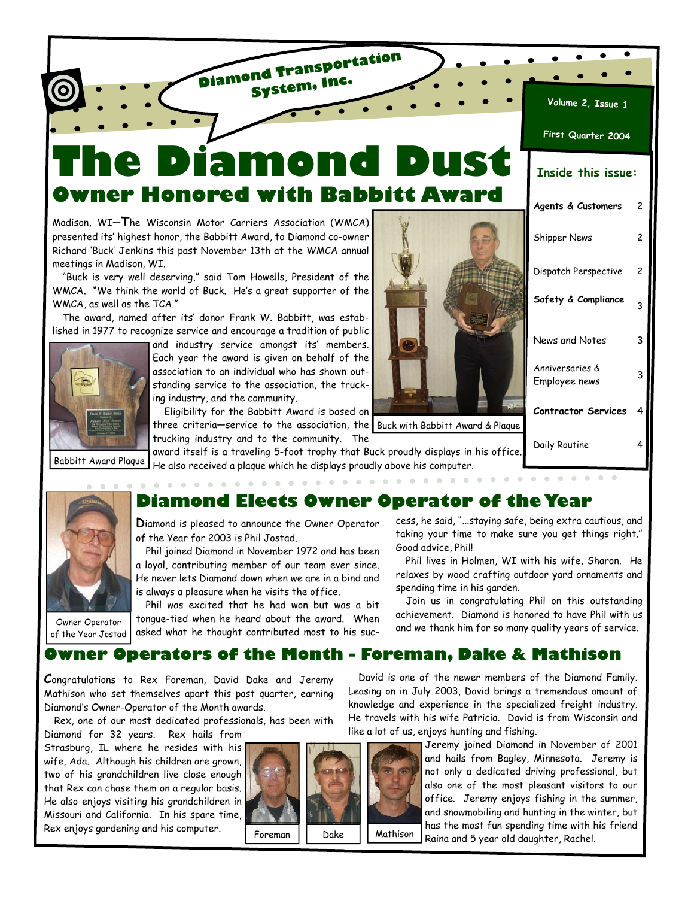# **The Diamond Dust Owner Honored with Babbitt Award**

**Diamond Transportation System, Inc.**

Madison, WI—**T**he Wisconsin Motor Carriers Association (WMCA) presented its' highest honor, the Babbitt Award, to Diamond co-owner Richard 'Buck' Jenkins this past November 13th at the WMCA annual meetings in Madison, WI.

"Buck is very well deserving," said Tom Howells, President of the WMCA. "We think the world of Buck. He's a great supporter of the WMCA, as well as the TCA."

The award, named after its' donor Frank W. Babbitt, was established in 1977 to recognize service and encourage a tradition of public



and industry service amongst its' members. Each year the award is given on behalf of the association to an individual who has shown outstanding service to the association, the trucking industry, and the community.

Eligibility for the Babbitt Award is based on three criteria—service to the association, the Buck with Babbitt Award & Plaque trucking industry and to the community. The



| volutile c' T22NG I              |   |
|----------------------------------|---|
| First Quarter 2004               |   |
| <b>Inside this issue:</b>        |   |
| Agents & Customers               | 2 |
| <b>Shipper News</b>              | 2 |
| Dispatch Perspective             | 2 |
| Safety & Compliance              | 3 |
| News and Notes                   | 3 |
| Anniversaries &<br>Employee news | 3 |
| <b>Contractor Services</b>       | 4 |
| Daily Routine                    |   |

award itself is a traveling 5-foot trophy that Buck proudly displays in his office. He also received a plaque which he displays proudly above his computer. Babbitt Award Plaque

## **Diamond Elects Owner Operator of the Year**

**D**iamond is pleased to announce the Owner Operator of the Year for 2003 is Phil Jostad.

Phil joined Diamond in November 1972 and has been a loyal, contributing member of our team ever since. He never lets Diamond down when we are in a bind and is always a pleasure when he visits the office.

Owner Operator of the Year Jostad

Phil was excited that he had won but was a bit tongue-tied when he heard about the award. When asked what he thought contributed most to his success, he said, "...staying safe, being extra cautious, and taking your time to make sure you get things right." Good advice, Phil!

Phil lives in Holmen, WI with his wife, Sharon. He relaxes by wood crafting outdoor yard ornaments and spending time in his garden.

Join us in congratulating Phil on this outstanding achievement. Diamond is honored to have Phil with us and we thank him for so many quality years of service.

David is one of the newer members of the Diamond Family. Leasing on in July 2003, David brings a tremendous amount of

## **Owner Operators of the Month - Foreman, Dake & Mathison**

**C**ongratulations to Rex Foreman, David Dake and Jeremy Mathison who set themselves apart this past quarter, earning Diamond's Owner-Operator of the Month awards.

Rex, one of our most dedicated professionals, has been with

Diamond for 32 years. Rex hails from Strasburg, IL where he resides with his wife, Ada. Although his children are grown, two of his grandchildren live close enough that Rex can chase them on a regular basis. He also enjoys visiting his grandchildren in Missouri and California. In his spare time, Rex enjoys gardening and his computer.



knowledge and experience in the specialized freight industry. He travels with his wife Patricia. David is from Wisconsin and like a lot of us, enjoys hunting and fishing. Jeremy joined Diamond in November of 2001

and hails from Bagley, Minnesota. Jeremy is not only a dedicated driving professional, but also one of the most pleasant visitors to our office. Jeremy enjoys fishing in the summer, and snowmobiling and hunting in the winter, but has the most fun spending time with his friend Raina and 5 year old daughter, Rachel.



**Volume 2, Issue 1**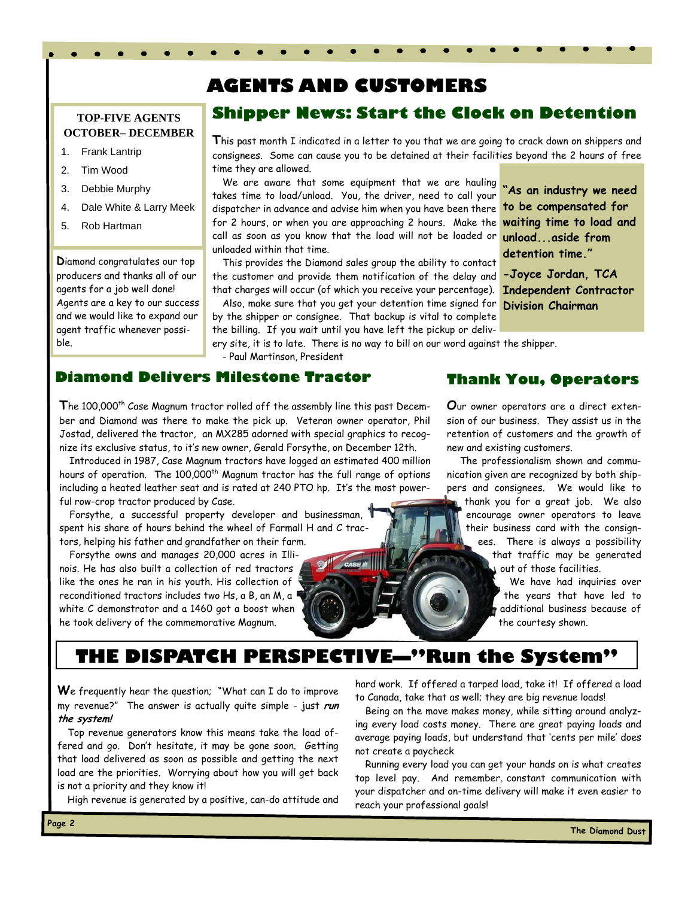## **AGENTS AND CUSTOMERS**

#### **TOP-FIVE AGENTS OCTOBER– DECEMBER**

- 1. Frank Lantrip
- 2. Tim Wood
- 3. Debbie Murphy
- 4. Dale White & Larry Meek
- 5. Rob Hartman

**D**iamond congratulates our top producers and thanks all of our agents for a job well done! Agents are a key to our success and we would like to expand our agent traffic whenever possible.

### **Shipper News: Start the Clock on Detention**

**T**his past month I indicated in a letter to you that we are going to crack down on shippers and consignees. Some can cause you to be detained at their facilities beyond the 2 hours of free time they are allowed.

We are aware that some equipment that we are hauling takes time to load/unload. You, the driver, need to call your dispatcher in advance and advise him when you have been there for 2 hours, or when you are approaching 2 hours. Make the call as soon as you know that the load will not be loaded or unloaded within that time.

This provides the Diamond sales group the ability to contact the customer and provide them notification of the delay and that charges will occur (of which you receive your percentage).

Also, make sure that you get your detention time signed for **Division Chairman** by the shipper or consignee. That backup is vital to complete

the billing. If you wait until you have left the pickup or delivery site, it is to late. There is no way to bill on our word against the shipper.

- Paul Martinson, President

#### **Thank You, Operators**

**"As an industry we need to be compensated for waiting time to load and unload...aside from detention time."** 

**-Joyce Jordan, TCA Independent Contractor** 

The 100,000<sup>th</sup> Case Magnum tractor rolled off the assembly line this past December and Diamond was there to make the pick up. Veteran owner operator, Phil Jostad, delivered the tractor, an MX285 adorned with special graphics to recognize its exclusive status, to it's new owner, Gerald Forsythe, on December 12th.

Introduced in 1987, Case Magnum tractors have logged an estimated 400 million hours of operation. The 100,000<sup>th</sup> Magnum tractor has the full range of options including a heated leather seat and is rated at 240 PTO hp. It's the most powerful row-crop tractor produced by Case.

Forsythe, a successful property developer and businessman, spent his share of hours behind the wheel of Farmall H and C tractors, helping his father and grandfather on their farm.

**Diamond Delivers Milestone Tractor** 

Forsythe owns and manages 20,000 acres in Illinois. He has also built a collection of red tractors like the ones he ran in his youth. His collection of reconditioned tractors includes two Hs, a B, an M, a white C demonstrator and a 1460 got a boost when he took delivery of the commemorative Magnum.

**O**ur owner operators are a direct extension of our business. They assist us in the retention of customers and the growth of new and existing customers.

 The professionalism shown and communication given are recognized by both shippers and consignees. We would like to

thank you for a great job. We also encourage owner operators to leave their business card with the consignees. There is always a possibility that traffic may be generated

out of those facilities.

 We have had inquiries over the years that have led to additional business because of the courtesy shown.

## **THE DISPATCH PERSPECTIVE—"Run the System"**

**W**e frequently hear the question; "What can I do to improve my revenue?" The answer is actually quite simple - just **run the system!**

Top revenue generators know this means take the load offered and go. Don't hesitate, it may be gone soon. Getting that load delivered as soon as possible and getting the next load are the priorities. Worrying about how you will get back is not a priority and they know it!

High revenue is generated by a positive, can-do attitude and

hard work. If offered a tarped load, take it! If offered a load to Canada, take that as well; they are big revenue loads!

Being on the move makes money, while sitting around analyzing every load costs money. There are great paying loads and average paying loads, but understand that 'cents per mile' does not create a paycheck

Running every load you can get your hands on is what creates top level pay. And remember, constant communication with your dispatcher and on-time delivery will make it even easier to reach your professional goals!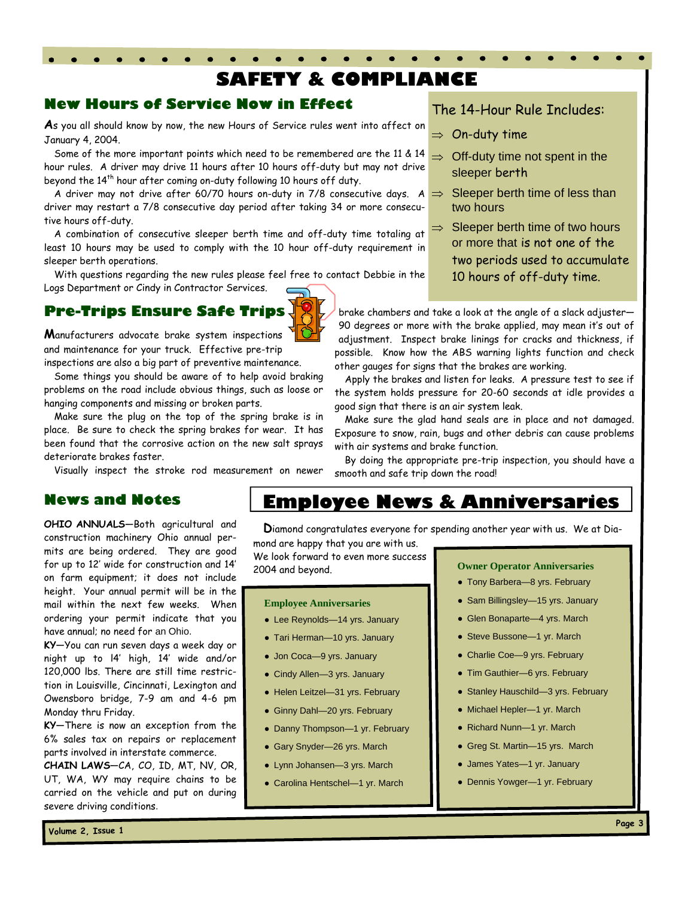## **SAFETY & COMPLIANCE**

### **New Hours of Service Now in Effect**

**A**s you all should know by now, the new Hours of Service rules went into affect on January 4, 2004.

Some of the more important points which need to be remembered are the 11 & 14 hour rules. A driver may drive 11 hours after 10 hours off-duty but may not drive beyond the 14<sup>th</sup> hour after coming on-duty following 10 hours off duty.

A driver may not drive after 60/70 hours on-duty in 7/8 consecutive days. A  $\Rightarrow$ driver may restart a 7/8 consecutive day period after taking 34 or more consecutive hours off-duty.

A combination of consecutive sleeper berth time and off-duty time totaling at least 10 hours may be used to comply with the 10 hour off-duty requirement in sleeper berth operations.

With questions regarding the new rules please feel free to contact Debbie in the Logs Department or Cindy in Contractor Services.

## **Pre-Trips Ensure Safe Trips**

**M**anufacturers advocate brake system inspections and maintenance for your truck. Effective pre-trip inspections are also a big part of preventive maintenance.

Some things you should be aware of to help avoid braking problems on the road include obvious things, such as loose or hanging components and missing or broken parts.

Make sure the plug on the top of the spring brake is in place. Be sure to check the spring brakes for wear. It has been found that the corrosive action on the new salt sprays deteriorate brakes faster.

Visually inspect the stroke rod measurement on newer

#### **News and Notes**

**OHIO ANNUALS**—Both agricultural and construction machinery Ohio annual permits are being ordered. They are good for up to 12' wide for construction and 14' on farm equipment; it does not include height. Your annual permit will be in the mail within the next few weeks. When ordering your permit indicate that you have annual; no need for an Ohio.

**KY**—You can run seven days a week day or night up to l4' high, 14' wide and/or 120,000 lbs. There are still time restriction in Louisville, Cincinnati, Lexington and Owensboro bridge, 7-9 am and 4-6 pm Monday thru Friday.

**KY**—There is now an exception from the 6% sales tax on repairs or replacement parts involved in interstate commerce.

**CHAIN LAWS**—CA, CO, ID, MT, NV, OR, UT, WA, WY may require chains to be carried on the vehicle and put on during severe driving conditions.

#### The 14-Hour Rule Includes:

- $\Rightarrow$  On-duty time
- $\Rightarrow$  Off-duty time not spent in the sleeper berth
	- Sleeper berth time of less than two hours
- $\Rightarrow$  Sleeper berth time of two hours or more that is not one of the two periods used to accumulate 10 hours of off-duty time.

brake chambers and take a look at the angle of a slack adjuster— 90 degrees or more with the brake applied, may mean it's out of adjustment. Inspect brake linings for cracks and thickness, if possible. Know how the ABS warning lights function and check other gauges for signs that the brakes are working.

Apply the brakes and listen for leaks. A pressure test to see if the system holds pressure for 20-60 seconds at idle provides a good sign that there is an air system leak.

Make sure the glad hand seals are in place and not damaged. Exposure to snow, rain, bugs and other debris can cause problems with air systems and brake function.

By doing the appropriate pre-trip inspection, you should have a smooth and safe trip down the road!

## **Employee News & Anniversaries**

**D**iamond congratulates everyone for spending another year with us. We at Dia-

mond are happy that you are with us. We look forward to even more success 2004 and beyond. **Owner Operator Anniversaries** 

#### **Employee Anniversaries**

- Lee Reynolds-14 yrs. January
- Tari Herman—10 yrs. January
- Jon Coca—9 yrs. January
- Cindy Allen—3 yrs. January
- Helen Leitzel—31 yrs. February
- Ginny Dahl—20 yrs. February
- Danny Thompson—1 yr. February
- Gary Snyder—26 yrs. March
- Lynn Johansen—3 yrs. March
- Carolina Hentschel—1 yr. March

- Tony Barbera-8 yrs. February
- Sam Billingsley-15 yrs. January
- Glen Bonaparte—4 yrs. March
- Steve Bussone-1 yr. March
- Charlie Coe—9 yrs. February
- Tim Gauthier-6 yrs. February
- Stanley Hauschild-3 yrs. February
- Michael Hepler—1 yr. March
- Richard Nunn-1 yr. March
- Greg St. Martin-15 yrs. March
- James Yates—1 yr. January
- Dennis Yowger—1 yr. February